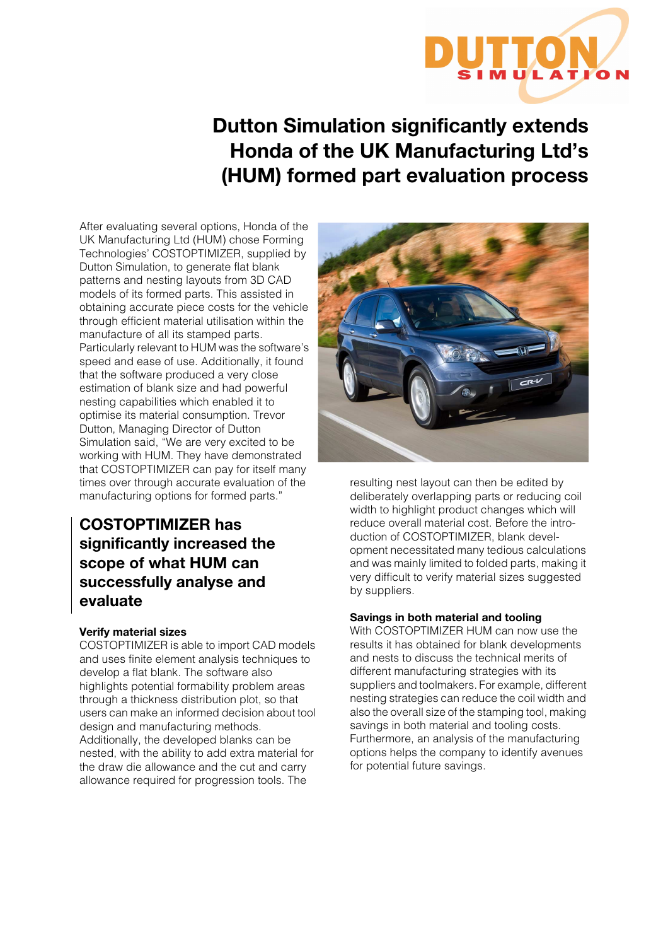

**Dutton Simulation significantly extends Honda of the UK Manufacturing Ltd's (HUM) formed part evaluation process**

After evaluating several options, Honda of the UK Manufacturing Ltd (HUM) chose Forming Technologies' COSTOPTIMIZER, supplied by Dutton Simulation, to generate flat blank patterns and nesting layouts from 3D CAD models of its formed parts. This assisted in obtaining accurate piece costs for the vehicle through efficient material utilisation within the manufacture of all its stamped parts. Particularly relevant to HUM was the software's speed and ease of use. Additionally, it found that the software produced a very close estimation of blank size and had powerful nesting capabilities which enabled it to optimise its material consumption. Trevor Dutton, Managing Director of Dutton Simulation said, "We are very excited to be working with HUM. They have demonstrated that COSTOPTIMIZER can pay for itself many times over through accurate evaluation of the manufacturing options for formed parts."

# **COSTOPTIMIZER has significantly increased the scope of what HUM can successfully analyse and evaluate**

# **Verify material sizes**

COSTOPTIMIZER is able to import CAD models and uses finite element analysis techniques to develop a flat blank. The software also highlights potential formability problem areas through a thickness distribution plot, so that users can make an informed decision about tool design and manufacturing methods. Additionally, the developed blanks can be nested, with the ability to add extra material for the draw die allowance and the cut and carry allowance required for progression tools. The



resulting nest layout can then be edited by deliberately overlapping parts or reducing coil width to highlight product changes which will reduce overall material cost. Before the introduction of COSTOPTIMIZER, blank development necessitated many tedious calculations and was mainly limited to folded parts, making it very difficult to verify material sizes suggested by suppliers.

# **Savings in both material and tooling**

With COSTOPTIMIZER HUM can now use the results it has obtained for blank developments and nests to discuss the technical merits of different manufacturing strategies with its suppliers and toolmakers. For example, different nesting strategies can reduce the coil width and also the overall size of the stamping tool, making savings in both material and tooling costs. Furthermore, an analysis of the manufacturing options helps the company to identify avenues for potential future savings.